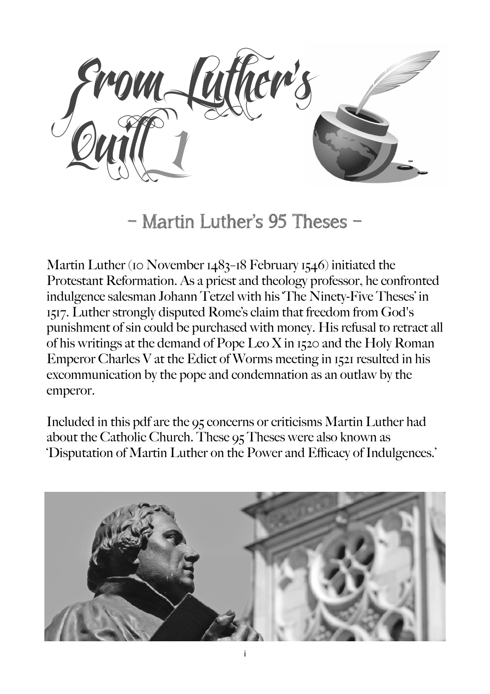From Luther's  $\sqrt{2}$ uill  $\sqrt{1}$ 

– Martin Luther's 95 Theses –

Martin Luther (10 November 1483–18 February 1546) initiated the Protestant Reformation. As a priest and theology professor, he confronted indulgence salesman Johann Tetzel with his 'The Ninety-Five Theses' in 1517. Luther strongly disputed Rome's claim that freedom from God's punishment of sin could be purchased with money. His refusal to retract all of his writings at the demand of Pope Leo X in 1520 and the Holy Roman Emperor Charles V at the Edict of Worms meeting in 1521 resulted in his excommunication by the pope and condemnation as an outlaw by the emperor.

Included in this pdf are the 95 concerns or criticisms Martin Luther had about the Catholic Church. These 95 Theses were also known as 'Disputation of Martin Luther on the Power and Efficacy of Indulgences.'

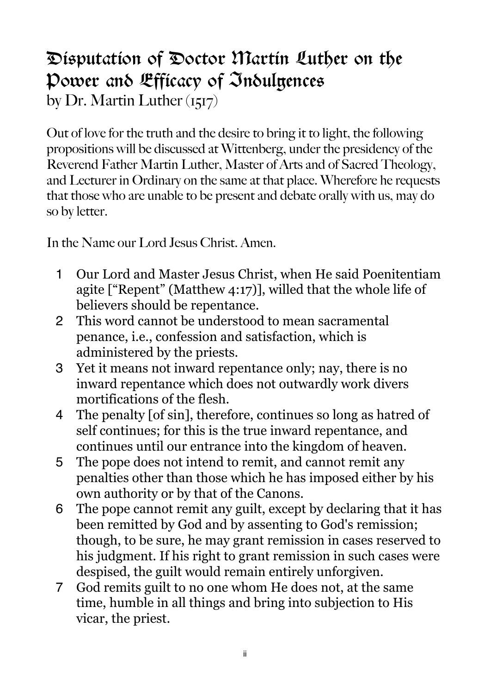## Disputation of Doctor Martin Luther on the Power and Efficacy of Indulgences by Dr. Martin Luther (1517)

Out of love for the truth and the desire to bring it to light, the following propositions will be discussed at Wittenberg, under the presidency of the Reverend Father Martin Luther, Master of Arts and of Sacred Theology, and Lecturer in Ordinary on the same at that place. Wherefore he requests that those who are unable to be present and debate orally with us, may do so by letter.

In the Name our Lord Jesus Christ. Amen.

- 1 Our Lord and Master Jesus Christ, when He said Poenitentiam agite ["Repent" (Matthew 4:17)], willed that the whole life of believers should be repentance.
- 2 This word cannot be understood to mean sacramental penance, i.e., confession and satisfaction, which is administered by the priests.
- 3 Yet it means not inward repentance only; nay, there is no inward repentance which does not outwardly work divers mortifications of the flesh.
- 4 The penalty [of sin], therefore, continues so long as hatred of self continues; for this is the true inward repentance, and continues until our entrance into the kingdom of heaven.
- 5 The pope does not intend to remit, and cannot remit any penalties other than those which he has imposed either by his own authority or by that of the Canons.
- 6 The pope cannot remit any guilt, except by declaring that it has been remitted by God and by assenting to God's remission; though, to be sure, he may grant remission in cases reserved to his judgment. If his right to grant remission in such cases were despised, the guilt would remain entirely unforgiven.
- 7 God remits guilt to no one whom He does not, at the same time, humble in all things and bring into subjection to His vicar, the priest.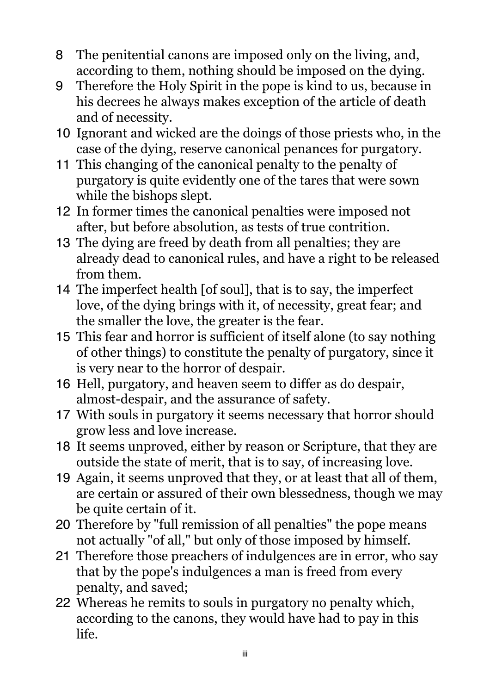- 8 The penitential canons are imposed only on the living, and, according to them, nothing should be imposed on the dying.
- 9 Therefore the Holy Spirit in the pope is kind to us, because in his decrees he always makes exception of the article of death and of necessity.
- 10 Ignorant and wicked are the doings of those priests who, in the case of the dying, reserve canonical penances for purgatory.
- 11 This changing of the canonical penalty to the penalty of purgatory is quite evidently one of the tares that were sown while the bishops slept.
- 12 In former times the canonical penalties were imposed not after, but before absolution, as tests of true contrition.
- 13 The dying are freed by death from all penalties; they are already dead to canonical rules, and have a right to be released from them.
- 14 The imperfect health [of soul], that is to say, the imperfect love, of the dying brings with it, of necessity, great fear; and the smaller the love, the greater is the fear.
- 15 This fear and horror is sufficient of itself alone (to say nothing of other things) to constitute the penalty of purgatory, since it is very near to the horror of despair.
- 16 Hell, purgatory, and heaven seem to differ as do despair, almost-despair, and the assurance of safety.
- 17 With souls in purgatory it seems necessary that horror should grow less and love increase.
- 18 It seems unproved, either by reason or Scripture, that they are outside the state of merit, that is to say, of increasing love.
- 19 Again, it seems unproved that they, or at least that all of them, are certain or assured of their own blessedness, though we may be quite certain of it.
- 20 Therefore by "full remission of all penalties" the pope means not actually "of all," but only of those imposed by himself.
- 21 Therefore those preachers of indulgences are in error, who say that by the pope's indulgences a man is freed from every penalty, and saved;
- 22 Whereas he remits to souls in purgatory no penalty which, according to the canons, they would have had to pay in this life.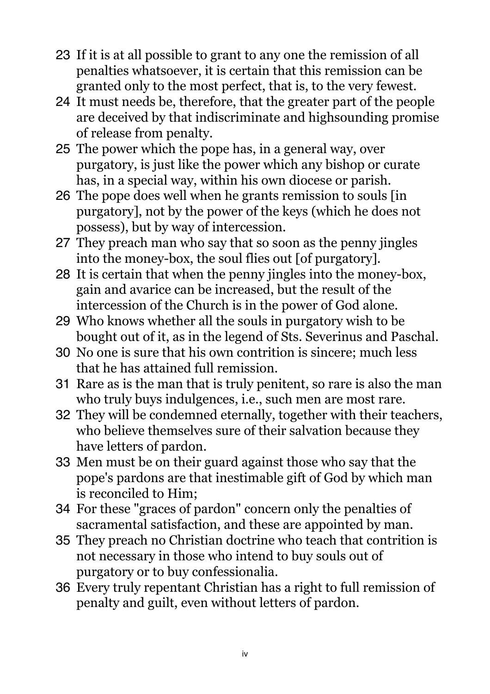- 23 If it is at all possible to grant to any one the remission of all penalties whatsoever, it is certain that this remission can be granted only to the most perfect, that is, to the very fewest.
- 24 It must needs be, therefore, that the greater part of the people are deceived by that indiscriminate and highsounding promise of release from penalty.
- 25 The power which the pope has, in a general way, over purgatory, is just like the power which any bishop or curate has, in a special way, within his own diocese or parish.
- 26 The pope does well when he grants remission to souls [in purgatory], not by the power of the keys (which he does not possess), but by way of intercession.
- 27 They preach man who say that so soon as the penny jingles into the money-box, the soul flies out [of purgatory].
- 28 It is certain that when the penny jingles into the money-box, gain and avarice can be increased, but the result of the intercession of the Church is in the power of God alone.
- 29 Who knows whether all the souls in purgatory wish to be bought out of it, as in the legend of Sts. Severinus and Paschal.
- 30 No one is sure that his own contrition is sincere; much less that he has attained full remission.
- 31 Rare as is the man that is truly penitent, so rare is also the man who truly buys indulgences, i.e., such men are most rare.
- 32 They will be condemned eternally, together with their teachers, who believe themselves sure of their salvation because they have letters of pardon.
- 33 Men must be on their guard against those who say that the pope's pardons are that inestimable gift of God by which man is reconciled to Him;
- 34 For these "graces of pardon" concern only the penalties of sacramental satisfaction, and these are appointed by man.
- 35 They preach no Christian doctrine who teach that contrition is not necessary in those who intend to buy souls out of purgatory or to buy confessionalia.
- 36 Every truly repentant Christian has a right to full remission of penalty and guilt, even without letters of pardon.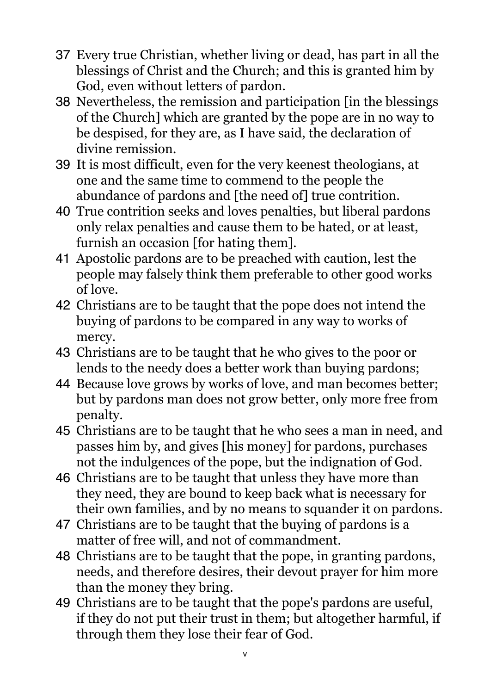- 37 Every true Christian, whether living or dead, has part in all the blessings of Christ and the Church; and this is granted him by God, even without letters of pardon.
- 38 Nevertheless, the remission and participation [in the blessings of the Church] which are granted by the pope are in no way to be despised, for they are, as I have said, the declaration of divine remission.
- 39 It is most difficult, even for the very keenest theologians, at one and the same time to commend to the people the abundance of pardons and [the need of] true contrition.
- 40 True contrition seeks and loves penalties, but liberal pardons only relax penalties and cause them to be hated, or at least, furnish an occasion [for hating them].
- 41 Apostolic pardons are to be preached with caution, lest the people may falsely think them preferable to other good works of love.
- 42 Christians are to be taught that the pope does not intend the buying of pardons to be compared in any way to works of mercy.
- 43 Christians are to be taught that he who gives to the poor or lends to the needy does a better work than buying pardons;
- 44 Because love grows by works of love, and man becomes better; but by pardons man does not grow better, only more free from penalty.
- 45 Christians are to be taught that he who sees a man in need, and passes him by, and gives [his money] for pardons, purchases not the indulgences of the pope, but the indignation of God.
- 46 Christians are to be taught that unless they have more than they need, they are bound to keep back what is necessary for their own families, and by no means to squander it on pardons.
- 47 Christians are to be taught that the buying of pardons is a matter of free will, and not of commandment.
- 48 Christians are to be taught that the pope, in granting pardons, needs, and therefore desires, their devout prayer for him more than the money they bring.
- 49 Christians are to be taught that the pope's pardons are useful, if they do not put their trust in them; but altogether harmful, if through them they lose their fear of God.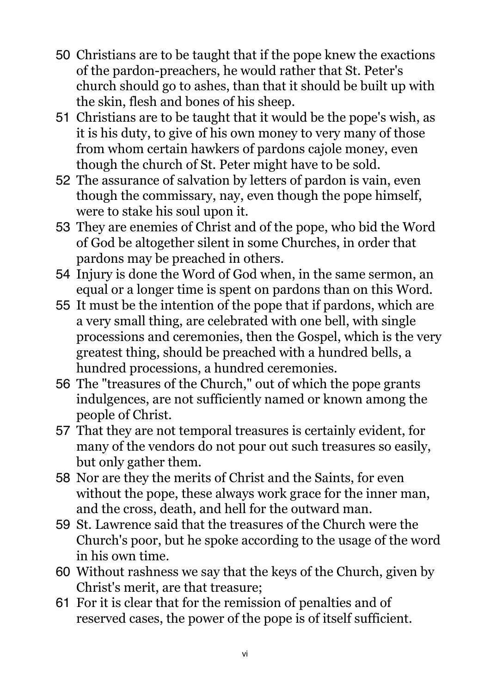- 50 Christians are to be taught that if the pope knew the exactions of the pardon-preachers, he would rather that St. Peter's church should go to ashes, than that it should be built up with the skin, flesh and bones of his sheep.
- 51 Christians are to be taught that it would be the pope's wish, as it is his duty, to give of his own money to very many of those from whom certain hawkers of pardons cajole money, even though the church of St. Peter might have to be sold.
- 52 The assurance of salvation by letters of pardon is vain, even though the commissary, nay, even though the pope himself, were to stake his soul upon it.
- 53 They are enemies of Christ and of the pope, who bid the Word of God be altogether silent in some Churches, in order that pardons may be preached in others.
- 54 Injury is done the Word of God when, in the same sermon, an equal or a longer time is spent on pardons than on this Word.
- 55 It must be the intention of the pope that if pardons, which are a very small thing, are celebrated with one bell, with single processions and ceremonies, then the Gospel, which is the very greatest thing, should be preached with a hundred bells, a hundred processions, a hundred ceremonies.
- 56 The "treasures of the Church," out of which the pope grants indulgences, are not sufficiently named or known among the people of Christ.
- 57 That they are not temporal treasures is certainly evident, for many of the vendors do not pour out such treasures so easily, but only gather them.
- 58 Nor are they the merits of Christ and the Saints, for even without the pope, these always work grace for the inner man, and the cross, death, and hell for the outward man.
- 59 St. Lawrence said that the treasures of the Church were the Church's poor, but he spoke according to the usage of the word in his own time.
- 60 Without rashness we say that the keys of the Church, given by Christ's merit, are that treasure;
- 61 For it is clear that for the remission of penalties and of reserved cases, the power of the pope is of itself sufficient.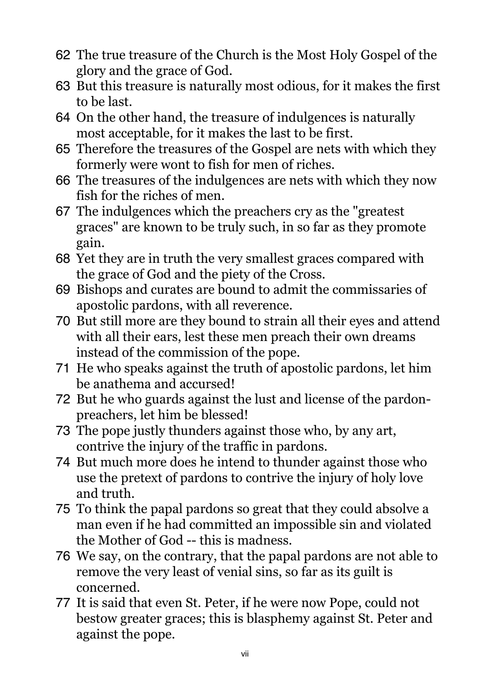- 62 The true treasure of the Church is the Most Holy Gospel of the glory and the grace of God.
- 63 But this treasure is naturally most odious, for it makes the first to be last.
- 64 On the other hand, the treasure of indulgences is naturally most acceptable, for it makes the last to be first.
- 65 Therefore the treasures of the Gospel are nets with which they formerly were wont to fish for men of riches.
- 66 The treasures of the indulgences are nets with which they now fish for the riches of men.
- 67 The indulgences which the preachers cry as the "greatest graces" are known to be truly such, in so far as they promote gain.
- 68 Yet they are in truth the very smallest graces compared with the grace of God and the piety of the Cross.
- 69 Bishops and curates are bound to admit the commissaries of apostolic pardons, with all reverence.
- 70 But still more are they bound to strain all their eyes and attend with all their ears, lest these men preach their own dreams instead of the commission of the pope.
- 71 He who speaks against the truth of apostolic pardons, let him be anathema and accursed!
- 72 But he who guards against the lust and license of the pardonpreachers, let him be blessed!
- 73 The pope justly thunders against those who, by any art, contrive the injury of the traffic in pardons.
- 74 But much more does he intend to thunder against those who use the pretext of pardons to contrive the injury of holy love and truth.
- 75 To think the papal pardons so great that they could absolve a man even if he had committed an impossible sin and violated the Mother of God -- this is madness.
- 76 We say, on the contrary, that the papal pardons are not able to remove the very least of venial sins, so far as its guilt is concerned.
- 77 It is said that even St. Peter, if he were now Pope, could not bestow greater graces; this is blasphemy against St. Peter and against the pope.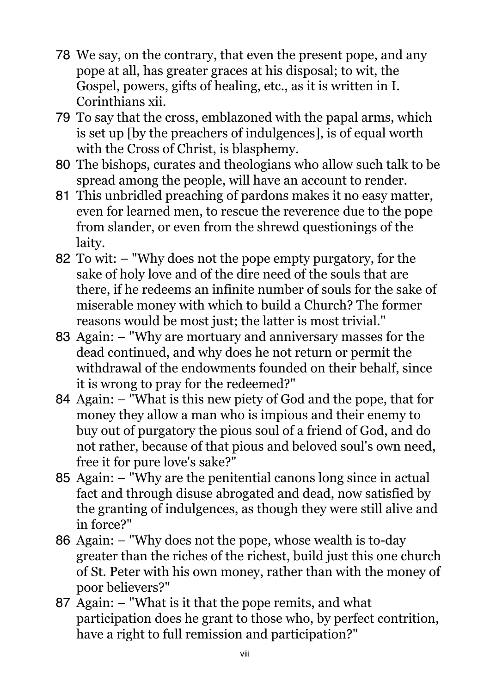- 78 We say, on the contrary, that even the present pope, and any pope at all, has greater graces at his disposal; to wit, the Gospel, powers, gifts of healing, etc., as it is written in I. Corinthians xii.
- 79 To say that the cross, emblazoned with the papal arms, which is set up [by the preachers of indulgences], is of equal worth with the Cross of Christ, is blasphemy.
- 80 The bishops, curates and theologians who allow such talk to be spread among the people, will have an account to render.
- 81 This unbridled preaching of pardons makes it no easy matter, even for learned men, to rescue the reverence due to the pope from slander, or even from the shrewd questionings of the laity.
- 82 To wit: "Why does not the pope empty purgatory, for the sake of holy love and of the dire need of the souls that are there, if he redeems an infinite number of souls for the sake of miserable money with which to build a Church? The former reasons would be most just; the latter is most trivial."
- 83 Again: "Why are mortuary and anniversary masses for the dead continued, and why does he not return or permit the withdrawal of the endowments founded on their behalf, since it is wrong to pray for the redeemed?"
- 84 Again: "What is this new piety of God and the pope, that for money they allow a man who is impious and their enemy to buy out of purgatory the pious soul of a friend of God, and do not rather, because of that pious and beloved soul's own need, free it for pure love's sake?"
- 85 Again: "Why are the penitential canons long since in actual fact and through disuse abrogated and dead, now satisfied by the granting of indulgences, as though they were still alive and in force?"
- 86 Again: "Why does not the pope, whose wealth is to-day greater than the riches of the richest, build just this one church of St. Peter with his own money, rather than with the money of poor believers?"
- 87 Again: "What is it that the pope remits, and what participation does he grant to those who, by perfect contrition, have a right to full remission and participation?"